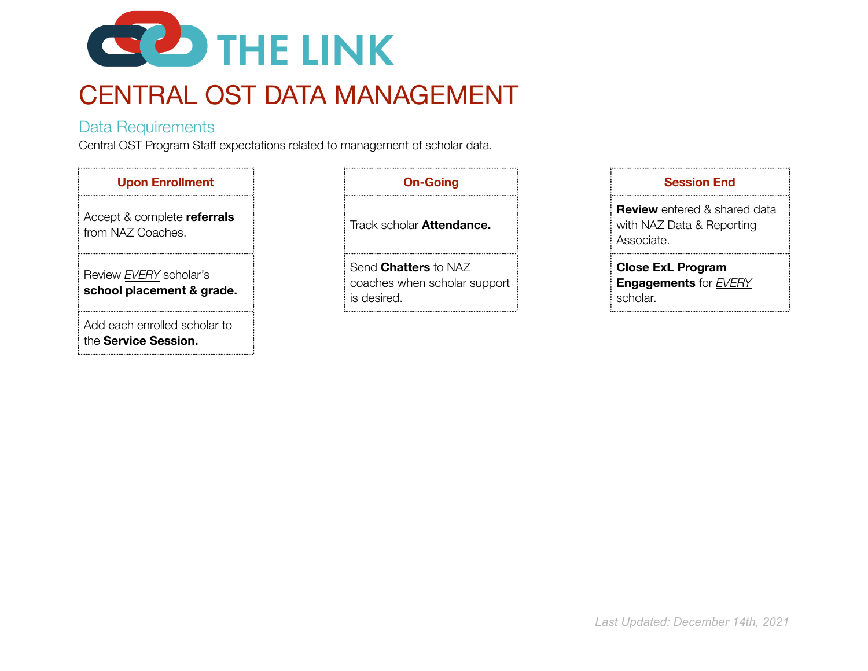

# CENTRAL OST DATA MANAGEMENT

### Data Requirements

Central OST Program Staff expectations related to management of scholar data.

| <b>Upon Enrollment</b>                               | <b>On-Going</b>                                                            | <b>Session End</b>                                                  |
|------------------------------------------------------|----------------------------------------------------------------------------|---------------------------------------------------------------------|
| Accept & complete referrals<br>from NAZ Coaches.     | Track scholar Attendance.                                                  | <b>Review</b> entered & shar<br>with NAZ Data & Repor<br>Associate. |
| Review EVERY scholar's<br>school placement & grade.  | Send <b>Chatters</b> to NAZ<br>coaches when scholar support<br>is desired. | <b>Close ExL Program</b><br><b>Engagements</b> for EVE<br>scholar.  |
| Add each enrolled scholar to<br>the Service Session. |                                                                            |                                                                     |

| Session End                                                                    |
|--------------------------------------------------------------------------------|
| <b>Review</b> entered & shared data<br>with NAZ Data & Reporting<br>Associate. |
| <b>Close ExL Program</b><br><b>Engagements for EVERY</b><br>scholar.           |